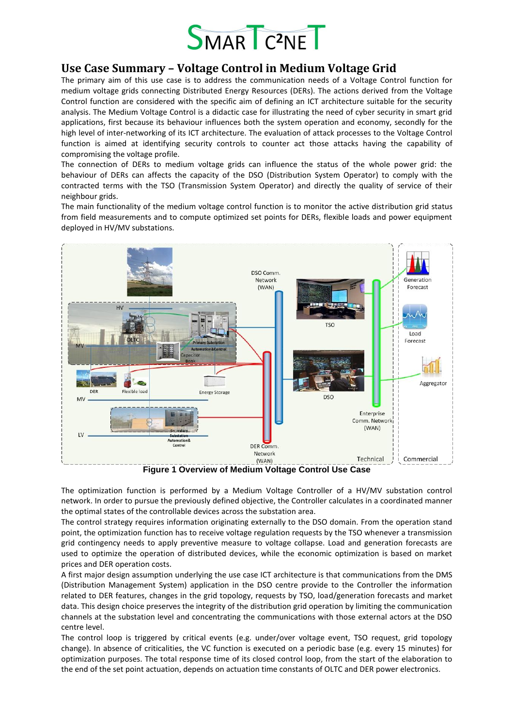

## **Use Case Summary – Voltage Control in Medium Voltage Grid**

The primary aim of this use case is to address the communication needs of a Voltage Control function for medium voltage grids connecting Distributed Energy Resources (DERs). The actions derived from the Voltage Control function are considered with the specific aim of defining an ICT architecture suitable for the security analysis. The Medium Voltage Control is a didactic case for illustrating the need of cyber security in smart grid applications, first because its behaviour influences both the system operation and economy, secondly for the high level of inter-networking of its ICT architecture. The evaluation of attack processes to the Voltage Control function is aimed at identifying security controls to counter act those attacks having the capability of compromising the voltage profile.

The connection of DERs to medium voltage grids can influence the status of the whole power grid: the behaviour of DERs can affects the capacity of the DSO (Distribution System Operator) to comply with the contracted terms with the TSO (Transmission System Operator) and directly the quality of service of their neighbour grids.

The main functionality of the medium voltage control function is to monitor the active distribution grid status from field measurements and to compute optimized set points for DERs, flexible loads and power equipment deployed in HV/MV substations.



**Figure 1 Overview of Medium Voltage Control Use Case**

<span id="page-0-0"></span>The optimization function is performed by a Medium Voltage Controller of a HV/MV substation control network. In order to pursue the previously defined objective, the Controller calculates in a coordinated manner the optimal states of the controllable devices across the substation area.

The control strategy requires information originating externally to the DSO domain. From the operation stand point, the optimization function has to receive voltage regulation requests by the TSO whenever a transmission grid contingency needs to apply preventive measure to voltage collapse. Load and generation forecasts are used to optimize the operation of distributed devices, while the economic optimization is based on market prices and DER operation costs.

A first major design assumption underlying the use case ICT architecture is that communications from the DMS (Distribution Management System) application in the DSO centre provide to the Controller the information related to DER features, changes in the grid topology, requests by TSO, load/generation forecasts and market data. This design choice preserves the integrity of the distribution grid operation by limiting the communication channels at the substation level and concentrating the communications with those external actors at the DSO centre level.

The control loop is triggered by critical events (e.g. under/over voltage event, TSO request, grid topology change). In absence of criticalities, the VC function is executed on a periodic base (e.g. every 15 minutes) for optimization purposes. The total response time of its closed control loop, from the start of the elaboration to the end of the set point actuation, depends on actuation time constants of OLTC and DER power electronics.